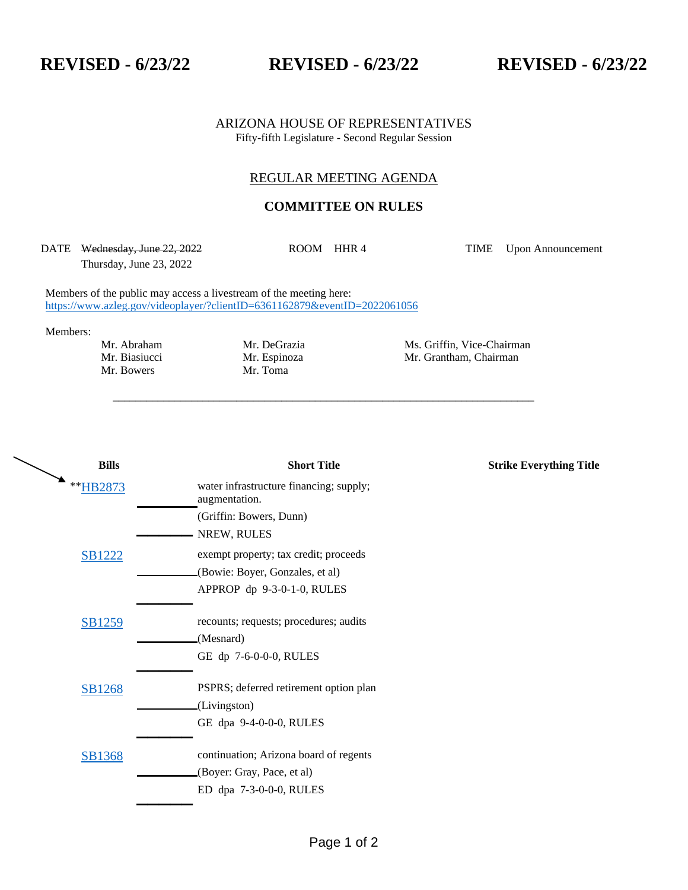## **REVISED - 6/23/22 REVISED - 6/23/22 REVISED - 6/23/22**

ARIZONA HOUSE OF REPRESENTATIVES Fifty-fifth Legislature - Second Regular Session

## REGULAR MEETING AGENDA

## **COMMITTEE ON RULES**

DATE Wednesday, June 22, 2022 Thursday, June 23, 2022

\_\_\_\_\_\_\_\_\_\_\_\_\_\_\_\_\_\_\_\_\_\_\_\_\_\_\_\_\_\_\_\_\_\_\_\_\_\_\_\_\_\_\_\_\_\_\_\_\_\_\_\_\_\_\_\_\_\_\_\_\_\_\_\_\_\_\_\_\_\_\_\_\_\_\_

ROOM HHR 4 TIME Upon Announcement

Members of the public may access a livestream of the meeting here: <https://www.azleg.gov/videoplayer/?clientID=6361162879&eventID=2022061056>

Members:

Mr. Bowers

Mr. Abraham Mr. DeGrazia Ms. Griffin, Vice-Chairman Mr. Biasiucci Mr. Espinoza Mr. Grantham, Chairman Mr. Bowers Mr. Toma Mr. Biasiucci Mr. Espinoza Mr. Grantham, Chairman

| <b>Bills</b>  | <b>Short Title</b>                                       | <b>Strike Everything Title</b> |
|---------------|----------------------------------------------------------|--------------------------------|
| **HB2873      | water infrastructure financing; supply;<br>augmentation. |                                |
|               | (Griffin: Bowers, Dunn)                                  |                                |
|               | NREW, RULES                                              |                                |
| <b>SB1222</b> | exempt property; tax credit; proceeds                    |                                |
|               | (Bowie: Boyer, Gonzales, et al)                          |                                |
|               | APPROP dp 9-3-0-1-0, RULES                               |                                |
| SB1259        | recounts; requests; procedures; audits                   |                                |
|               | (Mesnard)                                                |                                |
|               | GE dp 7-6-0-0-0, RULES                                   |                                |
| <b>SB1268</b> | PSPRS; deferred retirement option plan                   |                                |
|               | (Livingston)                                             |                                |
|               | GE dpa 9-4-0-0-0, RULES                                  |                                |
| <b>SB1368</b> | continuation; Arizona board of regents                   |                                |
|               | (Boyer: Gray, Pace, et al)                               |                                |
|               | ED dpa 7-3-0-0-0, RULES                                  |                                |
|               |                                                          |                                |